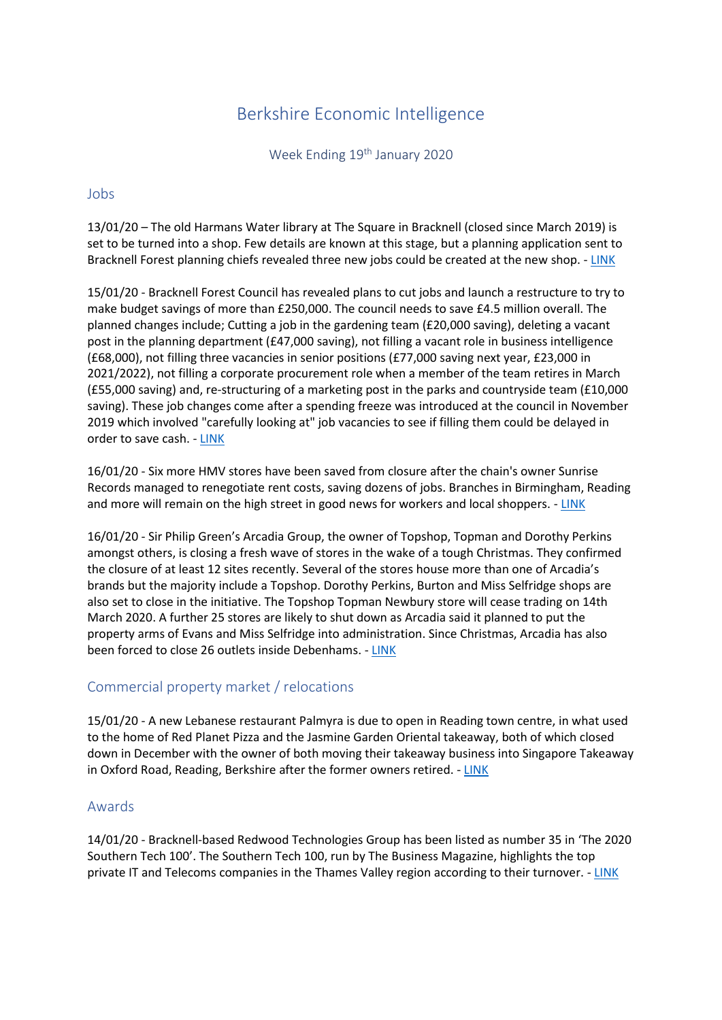# Berkshire Economic Intelligence

Week Ending 19<sup>th</sup> January 2020

### Jobs

13/01/20 – The old Harmans Water library at The Square in Bracknell (closed since March 2019) is set to be turned into a shop. Few details are known at this stage, but a planning application sent to Bracknell Forest planning chiefs revealed three new jobs could be created at the new shop. - [LINK](https://www.localberkshire.co.uk/news/18156169.harmans-water-former-library-become-shop/)

15/01/20 - Bracknell Forest Council has revealed plans to cut jobs and launch a restructure to try to make budget savings of more than £250,000. The council needs to save £4.5 million overall. The planned changes include; Cutting a job in the gardening team (£20,000 saving), deleting a vacant post in the planning department (£47,000 saving), not filling a vacant role in business intelligence (£68,000), not filling three vacancies in senior positions (£77,000 saving next year, £23,000 in 2021/2022), not filling a corporate procurement role when a member of the team retires in March (£55,000 saving) and, re-structuring of a marketing post in the parks and countryside team (£10,000 saving). These job changes come after a spending freeze was introduced at the council in November 2019 which involved "carefully looking at" job vacancies to see if filling them could be delayed in order to save cash. - [LINK](https://www.getreading.co.uk/news/reading-berkshire-news/bracknell-forest-council-reveal-job-17566181)

16/01/20 - Six more HMV stores have been saved from closure after the chain's owner Sunrise Records managed to renegotiate rent costs, saving dozens of jobs. Branches in Birmingham, Reading and more will remain on the high street in good news for workers and local shoppers. - [LINK](https://www.mirror.co.uk/money/six-hmv-stores-saved-closure-21294769)

16/01/20 - Sir Philip Green's Arcadia Group, the owner of Topshop, Topman and Dorothy Perkins amongst others, is closing a fresh wave of stores in the wake of a tough Christmas. They confirmed the closure of at least 12 sites recently. Several of the stores house more than one of Arcadia's brands but the majority include a Topshop. Dorothy Perkins, Burton and Miss Selfridge shops are also set to close in the initiative. The Topshop Topman Newbury store will cease trading on 14th March 2020. A further 25 stores are likely to shut down as Arcadia said it planned to put the property arms of Evans and Miss Selfridge into administration. Since Christmas, Arcadia has also been forced to close 26 outlets inside Debenhams. - [LINK](https://www.theguardian.com/business/2020/jan/16/philip-green-arcadia-closes-more-stores-after-tough-christmas?CMP=share_btn_link)

# Commercial property market / relocations

15/01/20 - A new Lebanese restaurant Palmyra is due to open in Reading town centre, in what used to the home of Red Planet Pizza and the Jasmine Garden Oriental takeaway, both of which closed down in December with the owner of both moving their takeaway business into Singapore Takeaway in Oxford Road, Reading, Berkshire after the former owners retired. - [LINK](https://www.getreading.co.uk/whats-on/food-drink-news/restaurant-set-replace-two-takeaways-17276099)

# Awards

14/01/20 - Bracknell-based Redwood Technologies Group has been listed as number 35 in 'The 2020 Southern Tech 100'. The Southern Tech 100, run by The Business Magazine, highlights the top private IT and Telecoms companies in the Thames Valley region according to their turnover. - [LINK](https://www.getreading.co.uk/news/reading-berkshire-news/berkshires-worst-train-stations-crime-17578905)